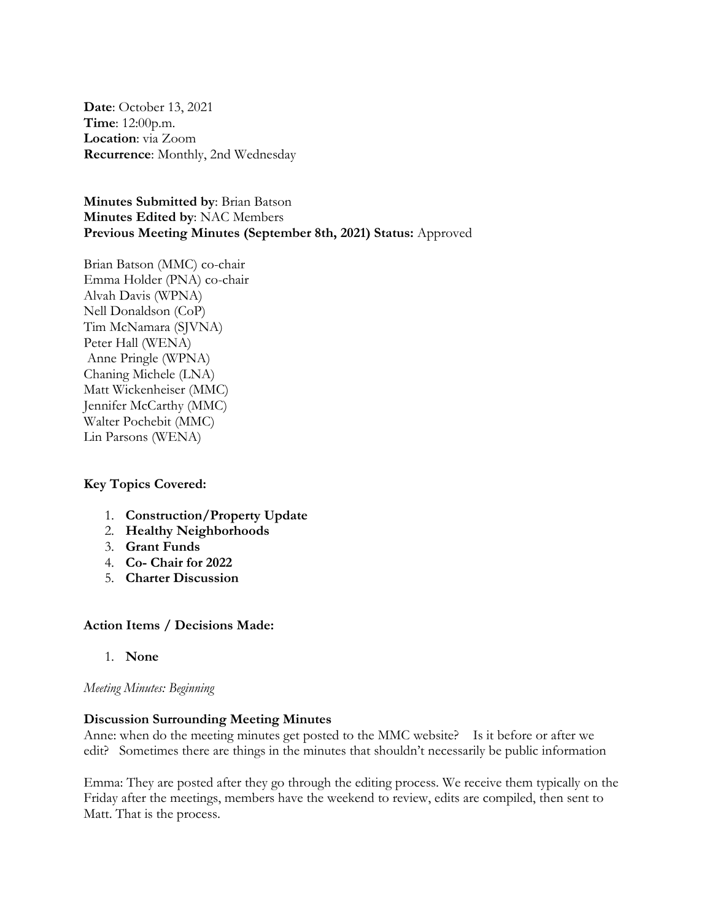**Date**: October 13, 2021 **Time**: 12:00p.m. **Location**: via Zoom **Recurrence**: Monthly, 2nd Wednesday

**Minutes Submitted by**: Brian Batson **Minutes Edited by**: NAC Members **Previous Meeting Minutes (September 8th, 2021) Status:** Approved

Brian Batson (MMC) co-chair Emma Holder (PNA) co-chair Alvah Davis (WPNA) Nell Donaldson (CoP) Tim McNamara (SJVNA) Peter Hall (WENA) Anne Pringle (WPNA) Chaning Michele (LNA) Matt Wickenheiser (MMC) Jennifer McCarthy (MMC) Walter Pochebit (MMC) Lin Parsons (WENA)

## **Key Topics Covered:**

- 1. **Construction/Property Update**
- 2. **Healthy Neighborhoods**
- 3. **Grant Funds**
- 4. **Co- Chair for 2022**
- 5. **Charter Discussion**

### **Action Items / Decisions Made:**

1. **None**

### *Meeting Minutes: Beginning*

## **Discussion Surrounding Meeting Minutes**

Anne: when do the meeting minutes get posted to the MMC website? Is it before or after we edit? Sometimes there are things in the minutes that shouldn't necessarily be public information

Emma: They are posted after they go through the editing process. We receive them typically on the Friday after the meetings, members have the weekend to review, edits are compiled, then sent to Matt. That is the process.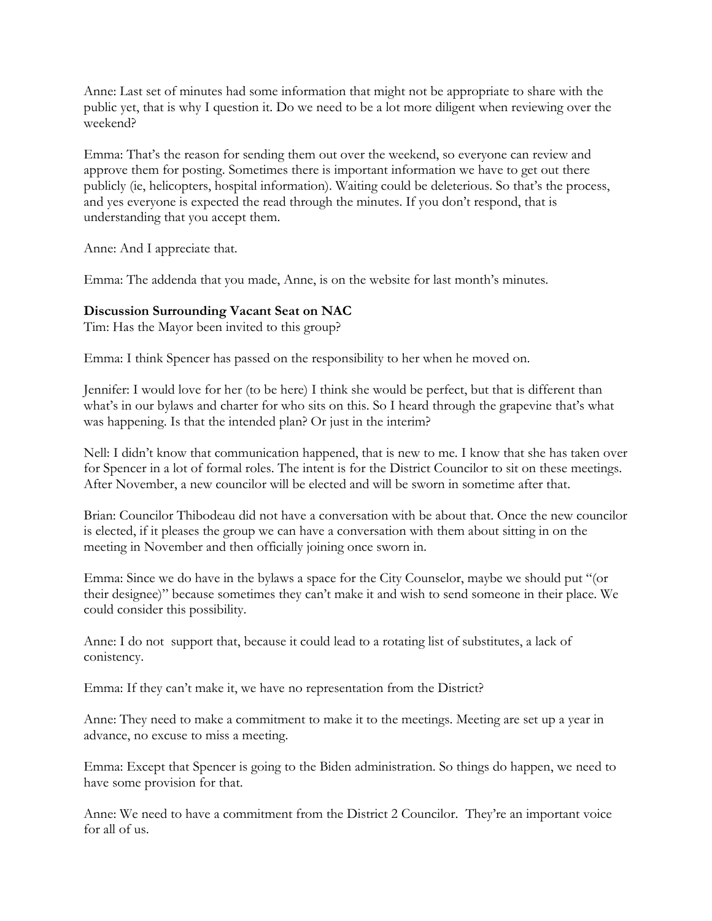Anne: Last set of minutes had some information that might not be appropriate to share with the public yet, that is why I question it. Do we need to be a lot more diligent when reviewing over the weekend?

Emma: That's the reason for sending them out over the weekend, so everyone can review and approve them for posting. Sometimes there is important information we have to get out there publicly (ie, helicopters, hospital information). Waiting could be deleterious. So that's the process, and yes everyone is expected the read through the minutes. If you don't respond, that is understanding that you accept them.

Anne: And I appreciate that.

Emma: The addenda that you made, Anne, is on the website for last month's minutes.

## **Discussion Surrounding Vacant Seat on NAC**

Tim: Has the Mayor been invited to this group?

Emma: I think Spencer has passed on the responsibility to her when he moved on.

Jennifer: I would love for her (to be here) I think she would be perfect, but that is different than what's in our bylaws and charter for who sits on this. So I heard through the grapevine that's what was happening. Is that the intended plan? Or just in the interim?

Nell: I didn't know that communication happened, that is new to me. I know that she has taken over for Spencer in a lot of formal roles. The intent is for the District Councilor to sit on these meetings. After November, a new councilor will be elected and will be sworn in sometime after that.

Brian: Councilor Thibodeau did not have a conversation with be about that. Once the new councilor is elected, if it pleases the group we can have a conversation with them about sitting in on the meeting in November and then officially joining once sworn in.

Emma: Since we do have in the bylaws a space for the City Counselor, maybe we should put "(or their designee)" because sometimes they can't make it and wish to send someone in their place. We could consider this possibility.

Anne: I do not support that, because it could lead to a rotating list of substitutes, a lack of conistency.

Emma: If they can't make it, we have no representation from the District?

Anne: They need to make a commitment to make it to the meetings. Meeting are set up a year in advance, no excuse to miss a meeting.

Emma: Except that Spencer is going to the Biden administration. So things do happen, we need to have some provision for that.

Anne: We need to have a commitment from the District 2 Councilor. They're an important voice for all of us.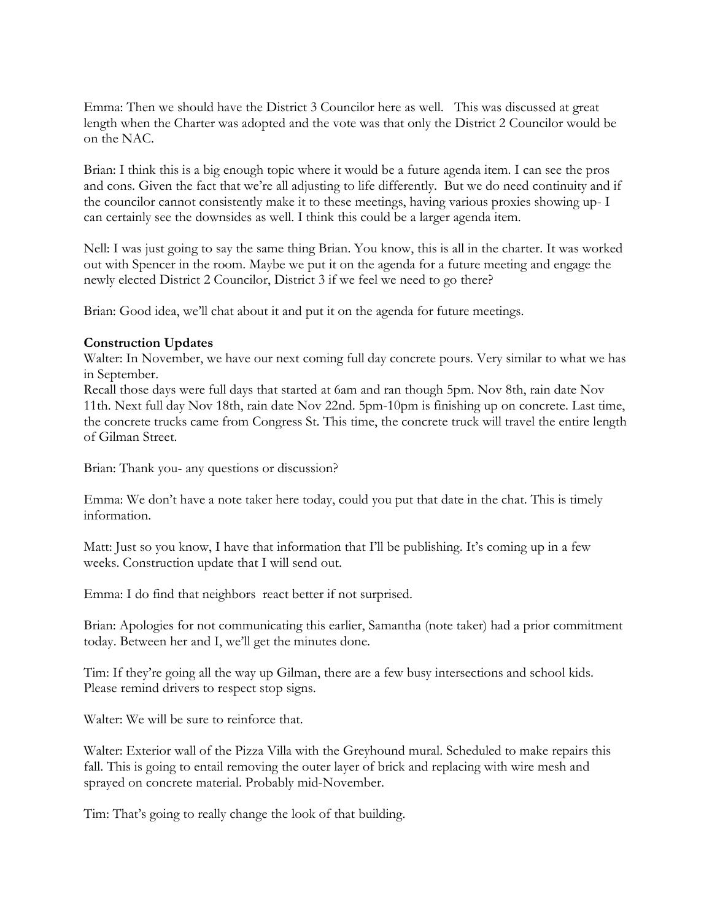Emma: Then we should have the District 3 Councilor here as well. This was discussed at great length when the Charter was adopted and the vote was that only the District 2 Councilor would be on the NAC.

Brian: I think this is a big enough topic where it would be a future agenda item. I can see the pros and cons. Given the fact that we're all adjusting to life differently. But we do need continuity and if the councilor cannot consistently make it to these meetings, having various proxies showing up- I can certainly see the downsides as well. I think this could be a larger agenda item.

Nell: I was just going to say the same thing Brian. You know, this is all in the charter. It was worked out with Spencer in the room. Maybe we put it on the agenda for a future meeting and engage the newly elected District 2 Councilor, District 3 if we feel we need to go there?

Brian: Good idea, we'll chat about it and put it on the agenda for future meetings.

## **Construction Updates**

Walter: In November, we have our next coming full day concrete pours. Very similar to what we has in September.

Recall those days were full days that started at 6am and ran though 5pm. Nov 8th, rain date Nov 11th. Next full day Nov 18th, rain date Nov 22nd. 5pm-10pm is finishing up on concrete. Last time, the concrete trucks came from Congress St. This time, the concrete truck will travel the entire length of Gilman Street.

Brian: Thank you- any questions or discussion?

Emma: We don't have a note taker here today, could you put that date in the chat. This is timely information.

Matt: Just so you know, I have that information that I'll be publishing. It's coming up in a few weeks. Construction update that I will send out.

Emma: I do find that neighbors react better if not surprised.

Brian: Apologies for not communicating this earlier, Samantha (note taker) had a prior commitment today. Between her and I, we'll get the minutes done.

Tim: If they're going all the way up Gilman, there are a few busy intersections and school kids. Please remind drivers to respect stop signs.

Walter: We will be sure to reinforce that.

Walter: Exterior wall of the Pizza Villa with the Greyhound mural. Scheduled to make repairs this fall. This is going to entail removing the outer layer of brick and replacing with wire mesh and sprayed on concrete material. Probably mid-November.

Tim: That's going to really change the look of that building.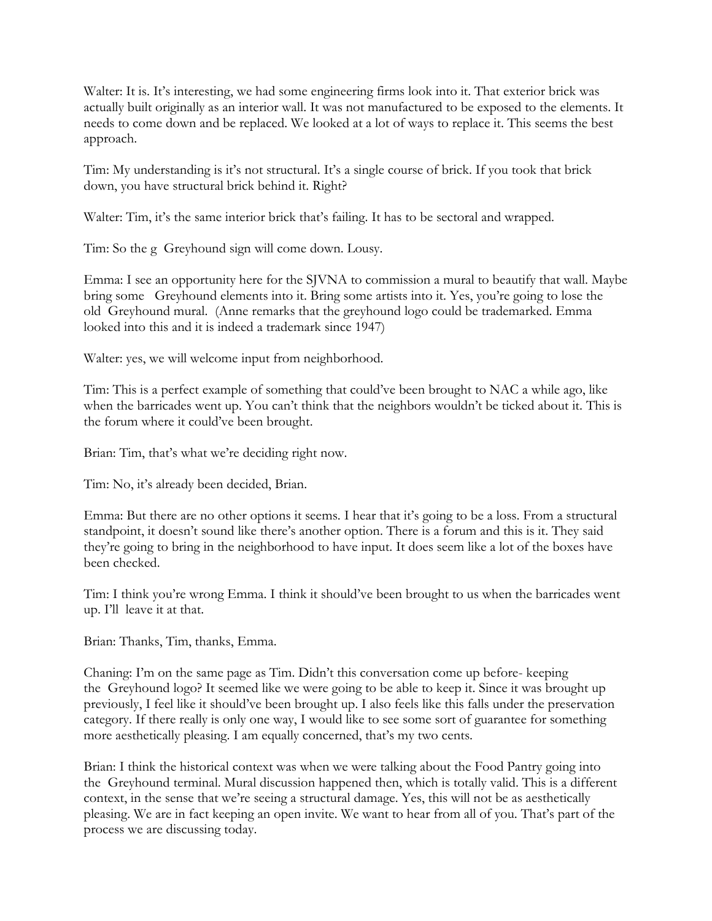Walter: It is. It's interesting, we had some engineering firms look into it. That exterior brick was actually built originally as an interior wall. It was not manufactured to be exposed to the elements. It needs to come down and be replaced. We looked at a lot of ways to replace it. This seems the best approach.

Tim: My understanding is it's not structural. It's a single course of brick. If you took that brick down, you have structural brick behind it. Right?

Walter: Tim, it's the same interior brick that's failing. It has to be sectoral and wrapped.

Tim: So the g Greyhound sign will come down. Lousy.

Emma: I see an opportunity here for the SJVNA to commission a mural to beautify that wall. Maybe bring some Greyhound elements into it. Bring some artists into it. Yes, you're going to lose the old Greyhound mural. (Anne remarks that the greyhound logo could be trademarked. Emma looked into this and it is indeed a trademark since 1947)

Walter: yes, we will welcome input from neighborhood.

Tim: This is a perfect example of something that could've been brought to NAC a while ago, like when the barricades went up. You can't think that the neighbors wouldn't be ticked about it. This is the forum where it could've been brought.

Brian: Tim, that's what we're deciding right now.

Tim: No, it's already been decided, Brian.

Emma: But there are no other options it seems. I hear that it's going to be a loss. From a structural standpoint, it doesn't sound like there's another option. There is a forum and this is it. They said they're going to bring in the neighborhood to have input. It does seem like a lot of the boxes have been checked.

Tim: I think you're wrong Emma. I think it should've been brought to us when the barricades went up. I'll leave it at that.

Brian: Thanks, Tim, thanks, Emma.

Chaning: I'm on the same page as Tim. Didn't this conversation come up before- keeping the Greyhound logo? It seemed like we were going to be able to keep it. Since it was brought up previously, I feel like it should've been brought up. I also feels like this falls under the preservation category. If there really is only one way, I would like to see some sort of guarantee for something more aesthetically pleasing. I am equally concerned, that's my two cents.

Brian: I think the historical context was when we were talking about the Food Pantry going into the Greyhound terminal. Mural discussion happened then, which is totally valid. This is a different context, in the sense that we're seeing a structural damage. Yes, this will not be as aesthetically pleasing. We are in fact keeping an open invite. We want to hear from all of you. That's part of the process we are discussing today.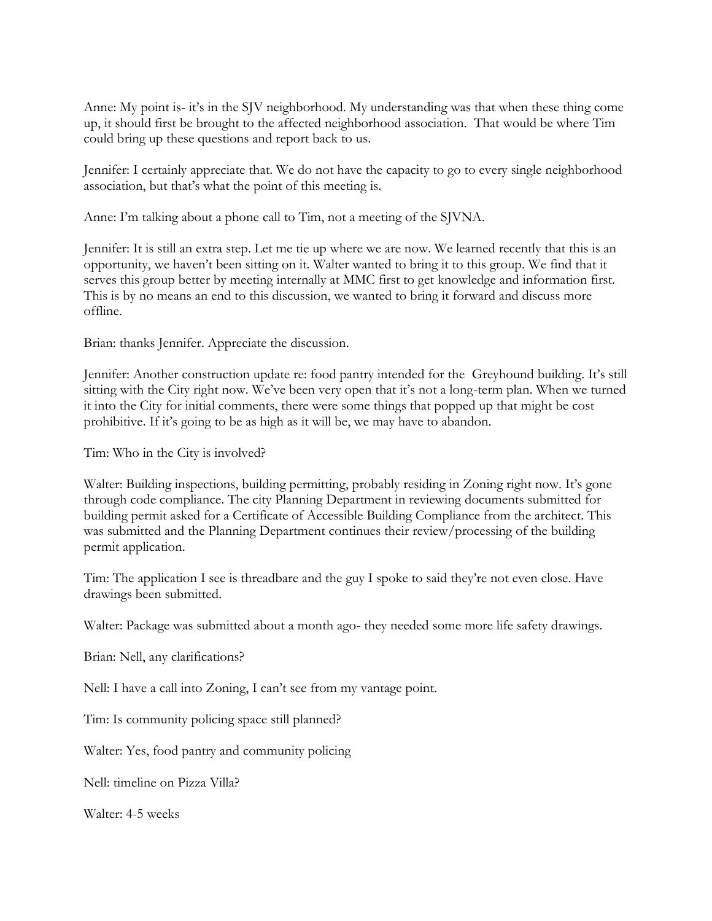Anne: My point is- it's in the SJV neighborhood. My understanding was that when these thing come up, it should first be brought to the affected neighborhood association. That would be where Tim could bring up these questions and report back to us.

Jennifer: I certainly appreciate that. We do not have the capacity to go to every single neighborhood association, but that's what the point of this meeting is.

Anne: I'm talking about a phone call to Tim, not a meeting of the SJVNA.

Jennifer: It is still an extra step. Let me tie up where we are now. We learned recently that this is an opportunity, we haven't been sitting on it. Walter wanted to bring it to this group. We find that it serves this group better by meeting internally at MMC first to get knowledge and information first. This is by no means an end to this discussion, we wanted to bring it forward and discuss more offline.

Brian: thanks Jennifer. Appreciate the discussion.

Jennifer: Another construction update re: food pantry intended for the Greyhound building. It's still sitting with the City right now. We've been very open that it's not a long-term plan. When we turned it into the City for initial comments, there were some things that popped up that might be cost prohibitive. If it's going to be as high as it will be, we may have to abandon.

Tim: Who in the City is involved?

Walter: Building inspections, building permitting, probably residing in Zoning right now. It's gone through code compliance. The city Planning Department in reviewing documents submitted for building permit asked for a Certificate of Accessible Building Compliance from the architect. This was submitted and the Planning Department continues their review/processing of the building permit application.

Tim: The application I see is threadbare and the guy I spoke to said they're not even close. Have drawings been submitted.

Walter: Package was submitted about a month ago- they needed some more life safety drawings.

Brian: Nell, any clarifications?

Nell: I have a call into Zoning, I can't see from my vantage point.

Tim: Is community policing space still planned?

Walter: Yes, food pantry and community policing

Nell: timeline on Pizza Villa?

Walter: 4-5 weeks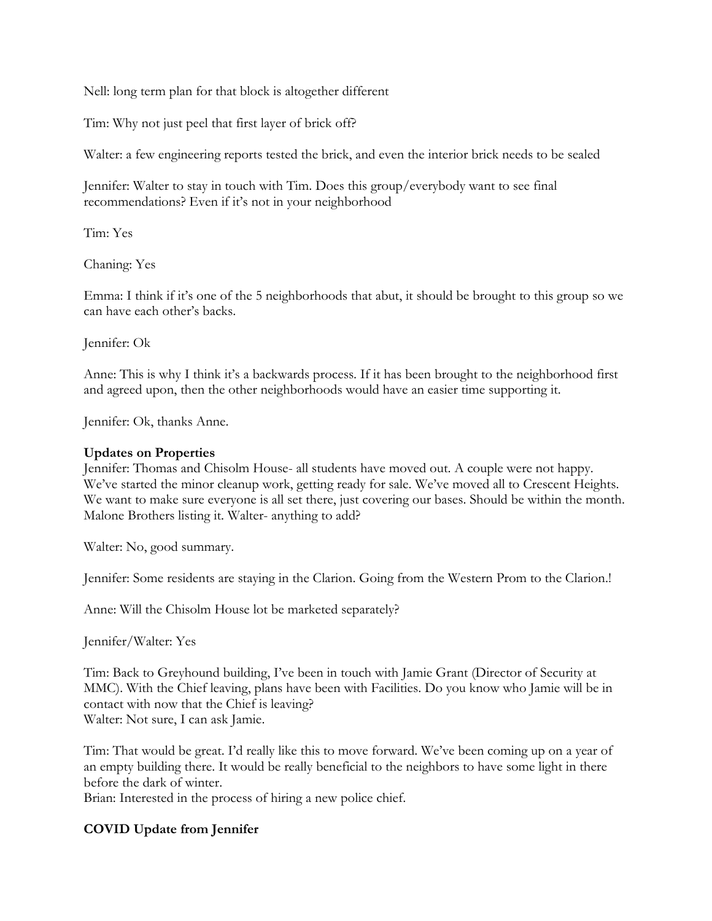Nell: long term plan for that block is altogether different

Tim: Why not just peel that first layer of brick off?

Walter: a few engineering reports tested the brick, and even the interior brick needs to be sealed

Jennifer: Walter to stay in touch with Tim. Does this group/everybody want to see final recommendations? Even if it's not in your neighborhood

Tim: Yes

Chaning: Yes

Emma: I think if it's one of the 5 neighborhoods that abut, it should be brought to this group so we can have each other's backs.

Jennifer: Ok

Anne: This is why I think it's a backwards process. If it has been brought to the neighborhood first and agreed upon, then the other neighborhoods would have an easier time supporting it.

Jennifer: Ok, thanks Anne.

## **Updates on Properties**

Jennifer: Thomas and Chisolm House- all students have moved out. A couple were not happy. We've started the minor cleanup work, getting ready for sale. We've moved all to Crescent Heights. We want to make sure everyone is all set there, just covering our bases. Should be within the month. Malone Brothers listing it. Walter- anything to add?

Walter: No, good summary.

Jennifer: Some residents are staying in the Clarion. Going from the Western Prom to the Clarion.!

Anne: Will the Chisolm House lot be marketed separately?

Jennifer/Walter: Yes

Tim: Back to Greyhound building, I've been in touch with Jamie Grant (Director of Security at MMC). With the Chief leaving, plans have been with Facilities. Do you know who Jamie will be in contact with now that the Chief is leaving? Walter: Not sure, I can ask Jamie.

Tim: That would be great. I'd really like this to move forward. We've been coming up on a year of an empty building there. It would be really beneficial to the neighbors to have some light in there before the dark of winter.

Brian: Interested in the process of hiring a new police chief.

# **COVID Update from Jennifer**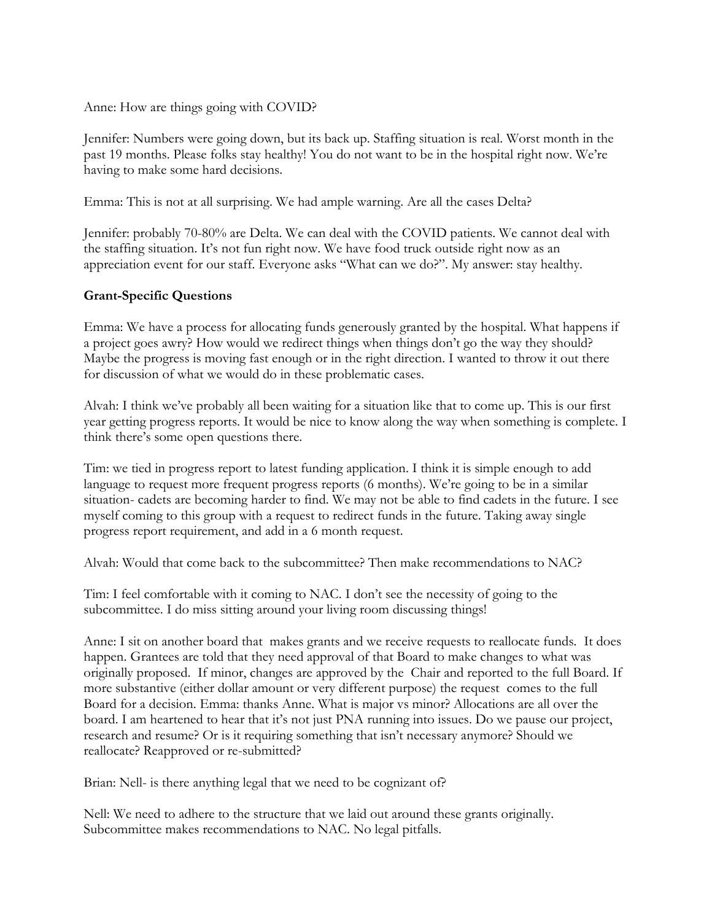Anne: How are things going with COVID?

Jennifer: Numbers were going down, but its back up. Staffing situation is real. Worst month in the past 19 months. Please folks stay healthy! You do not want to be in the hospital right now. We're having to make some hard decisions.

Emma: This is not at all surprising. We had ample warning. Are all the cases Delta?

Jennifer: probably 70-80% are Delta. We can deal with the COVID patients. We cannot deal with the staffing situation. It's not fun right now. We have food truck outside right now as an appreciation event for our staff. Everyone asks "What can we do?". My answer: stay healthy.

## **Grant-Specific Questions**

Emma: We have a process for allocating funds generously granted by the hospital. What happens if a project goes awry? How would we redirect things when things don't go the way they should? Maybe the progress is moving fast enough or in the right direction. I wanted to throw it out there for discussion of what we would do in these problematic cases.

Alvah: I think we've probably all been waiting for a situation like that to come up. This is our first year getting progress reports. It would be nice to know along the way when something is complete. I think there's some open questions there.

Tim: we tied in progress report to latest funding application. I think it is simple enough to add language to request more frequent progress reports (6 months). We're going to be in a similar situation- cadets are becoming harder to find. We may not be able to find cadets in the future. I see myself coming to this group with a request to redirect funds in the future. Taking away single progress report requirement, and add in a 6 month request.

Alvah: Would that come back to the subcommittee? Then make recommendations to NAC?

Tim: I feel comfortable with it coming to NAC. I don't see the necessity of going to the subcommittee. I do miss sitting around your living room discussing things!

Anne: I sit on another board that makes grants and we receive requests to reallocate funds. It does happen. Grantees are told that they need approval of that Board to make changes to what was originally proposed. If minor, changes are approved by the Chair and reported to the full Board. If more substantive (either dollar amount or very different purpose) the request comes to the full Board for a decision. Emma: thanks Anne. What is major vs minor? Allocations are all over the board. I am heartened to hear that it's not just PNA running into issues. Do we pause our project, research and resume? Or is it requiring something that isn't necessary anymore? Should we reallocate? Reapproved or re-submitted?

Brian: Nell- is there anything legal that we need to be cognizant of?

Nell: We need to adhere to the structure that we laid out around these grants originally. Subcommittee makes recommendations to NAC. No legal pitfalls.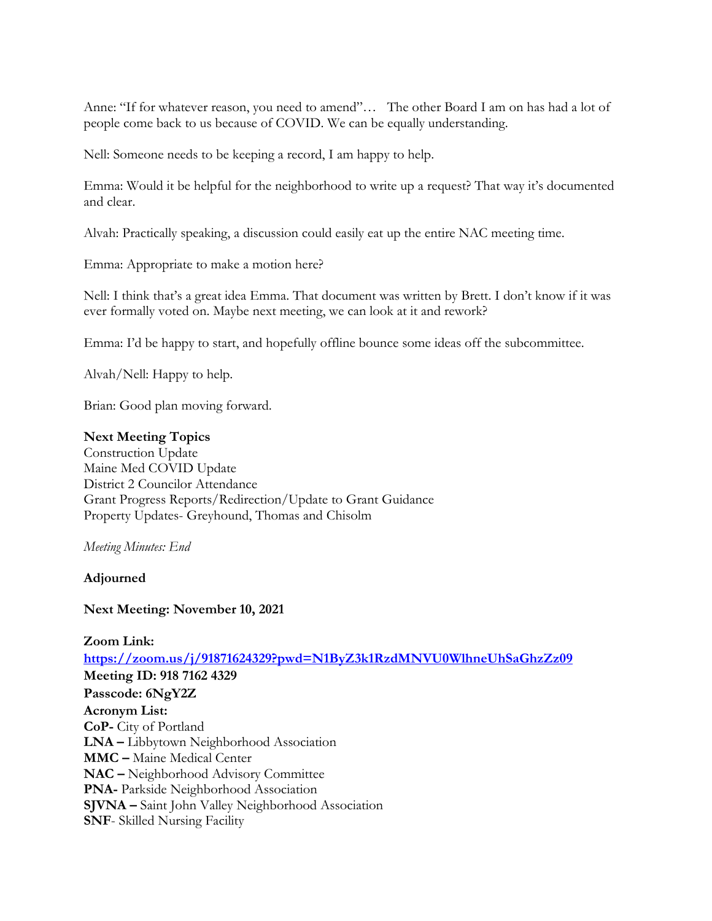Anne: "If for whatever reason, you need to amend"… The other Board I am on has had a lot of people come back to us because of COVID. We can be equally understanding.

Nell: Someone needs to be keeping a record, I am happy to help.

Emma: Would it be helpful for the neighborhood to write up a request? That way it's documented and clear.

Alvah: Practically speaking, a discussion could easily eat up the entire NAC meeting time.

Emma: Appropriate to make a motion here?

Nell: I think that's a great idea Emma. That document was written by Brett. I don't know if it was ever formally voted on. Maybe next meeting, we can look at it and rework?

Emma: I'd be happy to start, and hopefully offline bounce some ideas off the subcommittee.

Alvah/Nell: Happy to help.

Brian: Good plan moving forward.

### **Next Meeting Topics**

Construction Update Maine Med COVID Update District 2 Councilor Attendance Grant Progress Reports/Redirection/Update to Grant Guidance Property Updates- Greyhound, Thomas and Chisolm

*Meeting Minutes: End*

**Adjourned**

### **Next Meeting: November 10, 2021**

**Zoom Link: [https://zoom.us/j/91871624329?pwd=N1ByZ3k1RzdMNVU0WlhneUhSaGhzZz09](https://urldefense.com/v3/__https:/zoom.us/j/91871624329?pwd=N1ByZ3k1RzdMNVU0WlhneUhSaGhzZz09__;!!Npd4GBrkbw!gNjYq2-TLpAQA5QCLOCX7miJIz2ib-zoSXwE2GZYFu0aQMbEDFs2y3cLAKTENc5t$) Meeting ID: 918 7162 4329 Passcode: 6NgY2Z Acronym List: CoP-** City of Portland **LNA –** Libbytown Neighborhood Association **MMC –** Maine Medical Center **NAC –** Neighborhood Advisory Committee **PNA-** Parkside Neighborhood Association **SJVNA –** Saint John Valley Neighborhood Association **SNF**- Skilled Nursing Facility